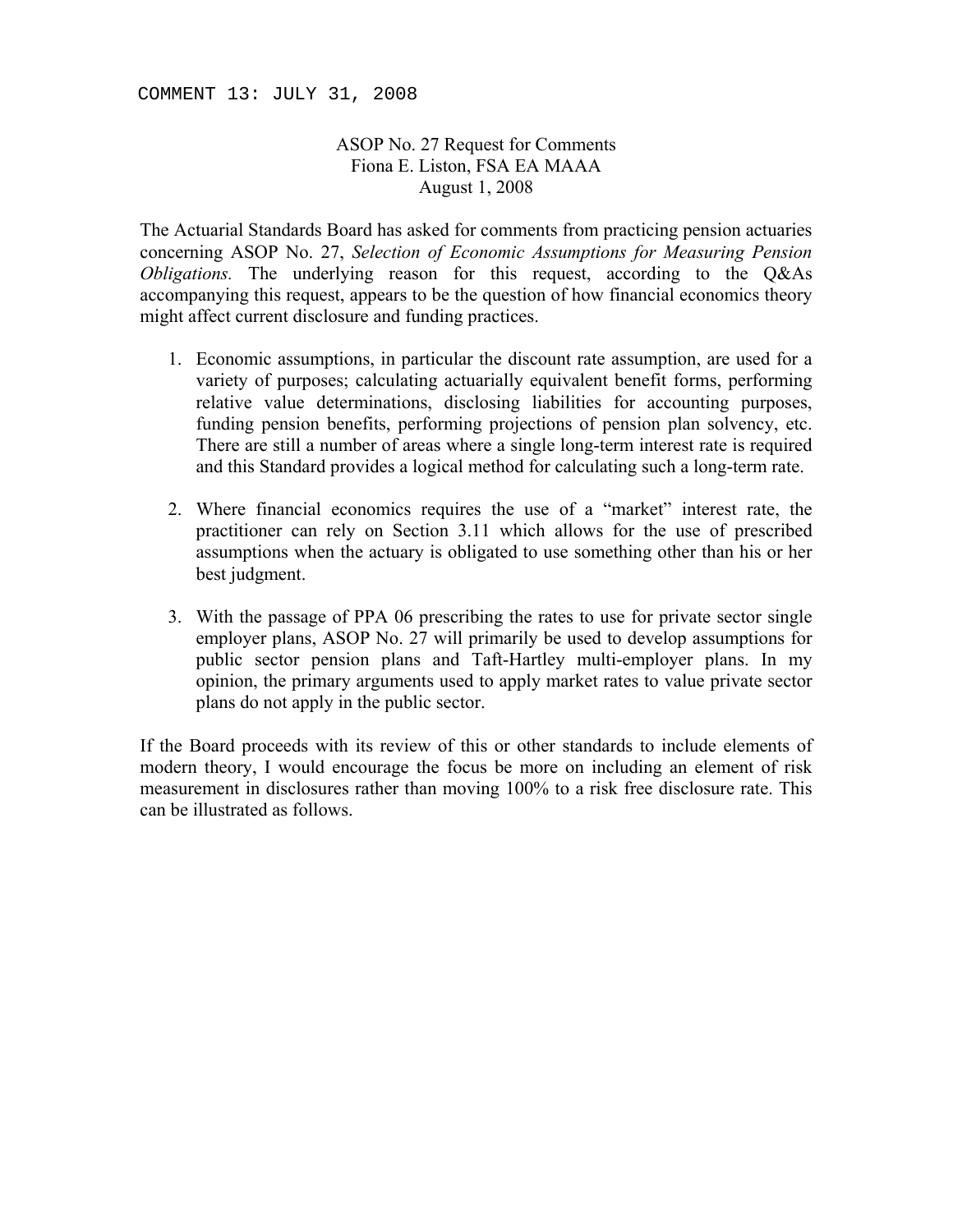COMMENT 13: JULY 31, 2008

## ASOP No. 27 Request for Comments Fiona E. Liston, FSA EA MAAA August 1, 2008

The Actuarial Standards Board has asked for comments from practicing pension actuaries concerning ASOP No. 27, *Selection of Economic Assumptions for Measuring Pension Obligations.* The underlying reason for this request, according to the Q&As accompanying this request, appears to be the question of how financial economics theory might affect current disclosure and funding practices.

- 1. Economic assumptions, in particular the discount rate assumption, are used for a variety of purposes; calculating actuarially equivalent benefit forms, performing relative value determinations, disclosing liabilities for accounting purposes, funding pension benefits, performing projections of pension plan solvency, etc. There are still a number of areas where a single long-term interest rate is required and this Standard provides a logical method for calculating such a long-term rate.
- 2. Where financial economics requires the use of a "market" interest rate, the practitioner can rely on Section 3.11 which allows for the use of prescribed assumptions when the actuary is obligated to use something other than his or her best judgment.
- 3. With the passage of PPA 06 prescribing the rates to use for private sector single employer plans, ASOP No. 27 will primarily be used to develop assumptions for public sector pension plans and Taft-Hartley multi-employer plans. In my opinion, the primary arguments used to apply market rates to value private sector plans do not apply in the public sector.

If the Board proceeds with its review of this or other standards to include elements of modern theory, I would encourage the focus be more on including an element of risk measurement in disclosures rather than moving 100% to a risk free disclosure rate. This can be illustrated as follows.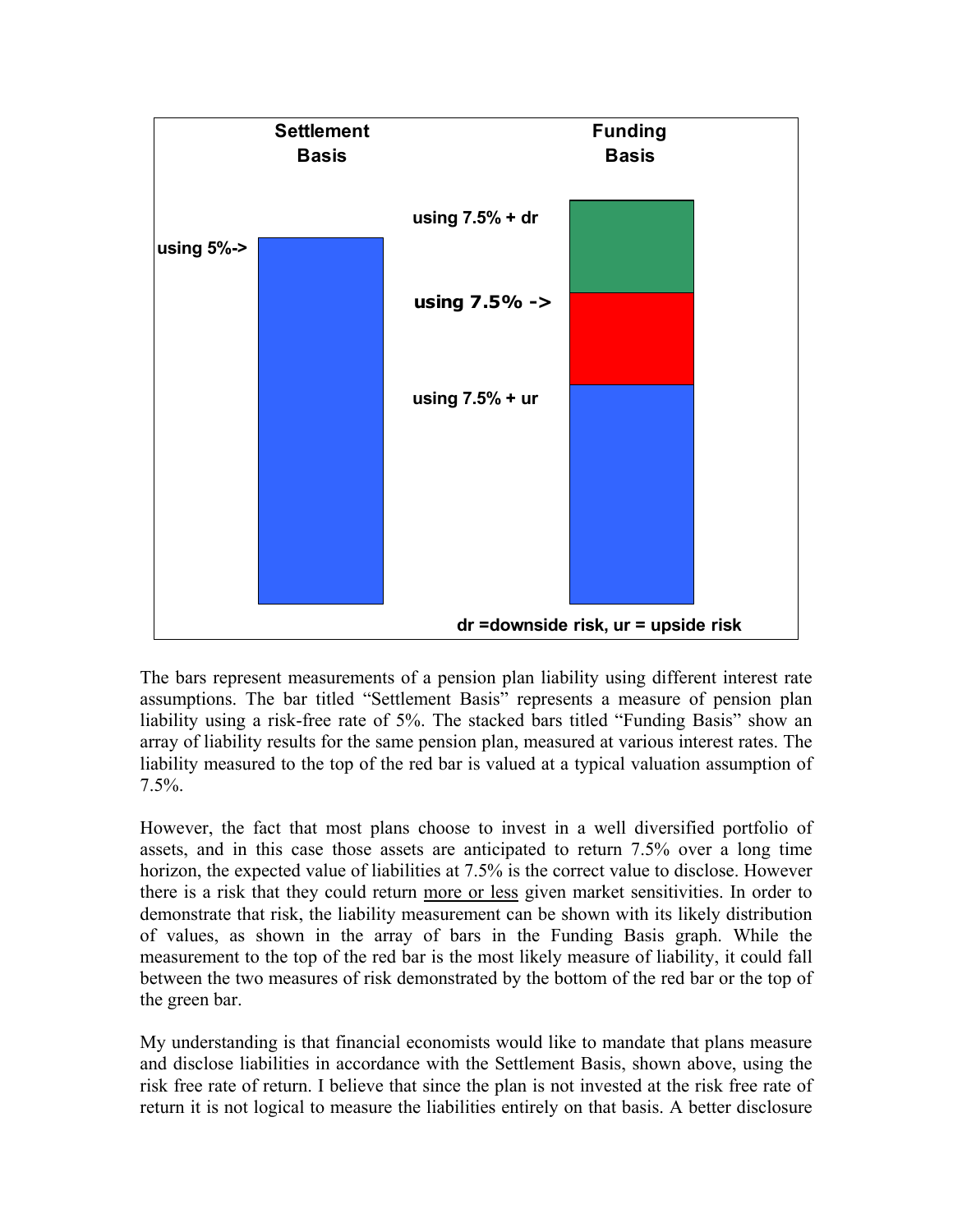

The bars represent measurements of a pension plan liability using different interest rate assumptions. The bar titled "Settlement Basis" represents a measure of pension plan liability using a risk-free rate of 5%. The stacked bars titled "Funding Basis" show an array of liability results for the same pension plan, measured at various interest rates. The liability measured to the top of the red bar is valued at a typical valuation assumption of 7.5%.

However, the fact that most plans choose to invest in a well diversified portfolio of assets, and in this case those assets are anticipated to return 7.5% over a long time horizon, the expected value of liabilities at 7.5% is the correct value to disclose. However there is a risk that they could return more or less given market sensitivities. In order to demonstrate that risk, the liability measurement can be shown with its likely distribution of values, as shown in the array of bars in the Funding Basis graph. While the measurement to the top of the red bar is the most likely measure of liability, it could fall between the two measures of risk demonstrated by the bottom of the red bar or the top of the green bar.

My understanding is that financial economists would like to mandate that plans measure and disclose liabilities in accordance with the Settlement Basis, shown above, using the risk free rate of return. I believe that since the plan is not invested at the risk free rate of return it is not logical to measure the liabilities entirely on that basis. A better disclosure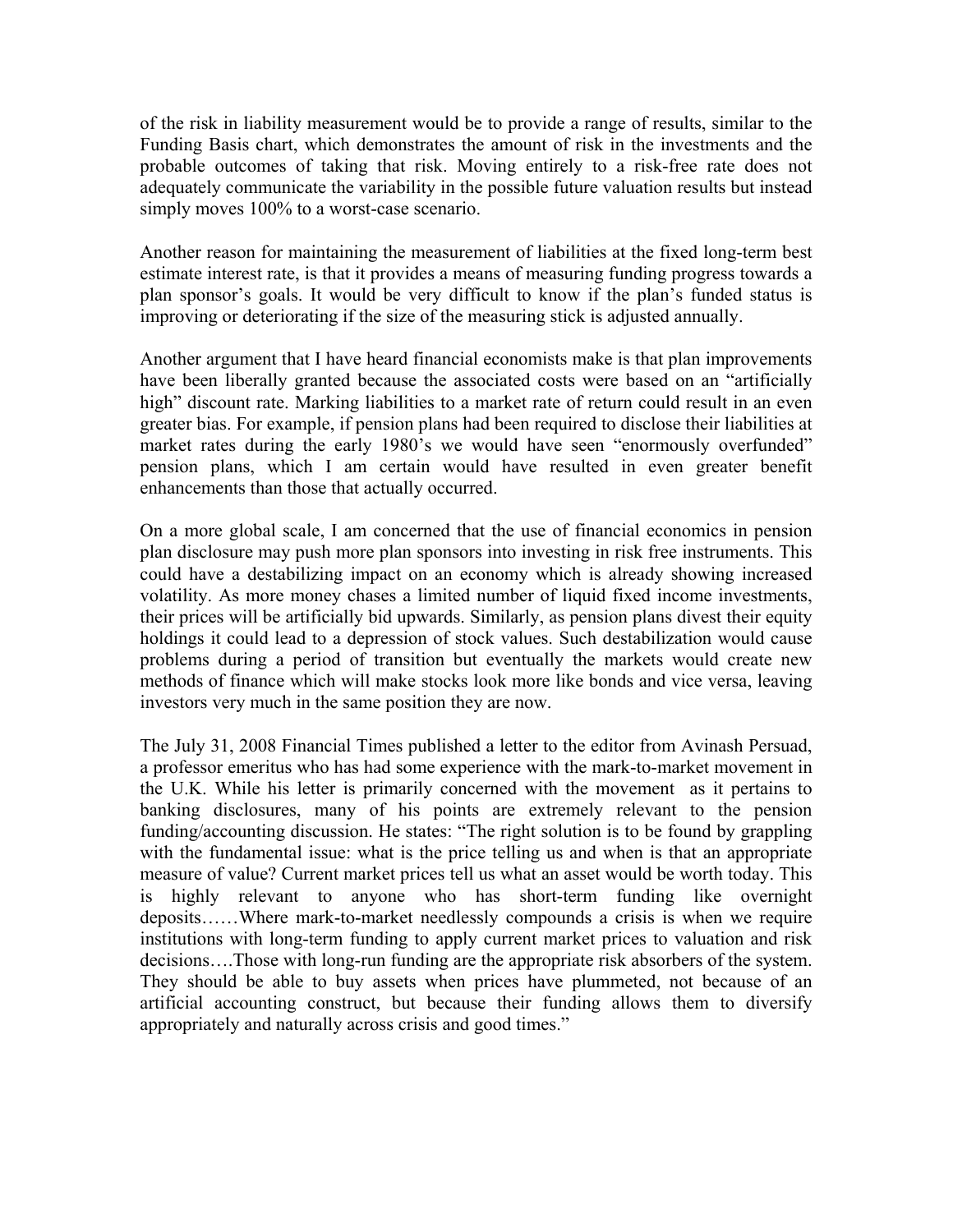of the risk in liability measurement would be to provide a range of results, similar to the Funding Basis chart, which demonstrates the amount of risk in the investments and the probable outcomes of taking that risk. Moving entirely to a risk-free rate does not adequately communicate the variability in the possible future valuation results but instead simply moves  $100\%$  to a worst-case scenario.

Another reason for maintaining the measurement of liabilities at the fixed long-term best estimate interest rate, is that it provides a means of measuring funding progress towards a plan sponsor's goals. It would be very difficult to know if the plan's funded status is improving or deteriorating if the size of the measuring stick is adjusted annually.

Another argument that I have heard financial economists make is that plan improvements have been liberally granted because the associated costs were based on an "artificially high" discount rate. Marking liabilities to a market rate of return could result in an even greater bias. For example, if pension plans had been required to disclose their liabilities at market rates during the early 1980's we would have seen "enormously overfunded" pension plans, which I am certain would have resulted in even greater benefit enhancements than those that actually occurred.

On a more global scale, I am concerned that the use of financial economics in pension plan disclosure may push more plan sponsors into investing in risk free instruments. This could have a destabilizing impact on an economy which is already showing increased volatility. As more money chases a limited number of liquid fixed income investments, their prices will be artificially bid upwards. Similarly, as pension plans divest their equity holdings it could lead to a depression of stock values. Such destabilization would cause problems during a period of transition but eventually the markets would create new methods of finance which will make stocks look more like bonds and vice versa, leaving investors very much in the same position they are now.

The July 31, 2008 Financial Times published a letter to the editor from Avinash Persuad, a professor emeritus who has had some experience with the mark-to-market movement in the U.K. While his letter is primarily concerned with the movement as it pertains to banking disclosures, many of his points are extremely relevant to the pension funding/accounting discussion. He states: "The right solution is to be found by grappling with the fundamental issue: what is the price telling us and when is that an appropriate measure of value? Current market prices tell us what an asset would be worth today. This is highly relevant to anyone who has short-term funding like overnight deposits……Where mark-to-market needlessly compounds a crisis is when we require institutions with long-term funding to apply current market prices to valuation and risk decisions….Those with long-run funding are the appropriate risk absorbers of the system. They should be able to buy assets when prices have plummeted, not because of an artificial accounting construct, but because their funding allows them to diversify appropriately and naturally across crisis and good times."